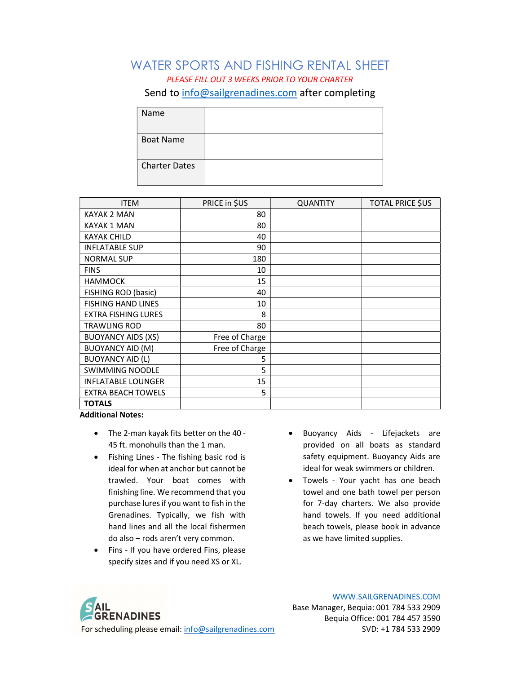#### WATER SPORTS AND FISHING RENTAL SHEET PLEASE FILL OUT 3 WEEKS PRIOR TO YOUR CHARTER Send to info@sailgrenadines.com after completing

| Name                 |  |
|----------------------|--|
| <b>Boat Name</b>     |  |
| <b>Charter Dates</b> |  |

| <b>ITEM</b>                | PRICE in \$US  | <b>QUANTITY</b> | <b>TOTAL PRICE SUS</b> |
|----------------------------|----------------|-----------------|------------------------|
| KAYAK 2 MAN                | 80             |                 |                        |
| KAYAK 1 MAN                | 80             |                 |                        |
| <b>KAYAK CHILD</b>         | 40             |                 |                        |
| <b>INFLATABLE SUP</b>      | 90             |                 |                        |
| <b>NORMAL SUP</b>          | 180            |                 |                        |
| <b>FINS</b>                | 10             |                 |                        |
| <b>HAMMOCK</b>             | 15             |                 |                        |
| FISHING ROD (basic)        | 40             |                 |                        |
| <b>FISHING HAND LINES</b>  | 10             |                 |                        |
| <b>EXTRA FISHING LURES</b> | 8              |                 |                        |
| <b>TRAWLING ROD</b>        | 80             |                 |                        |
| <b>BUOYANCY AIDS (XS)</b>  | Free of Charge |                 |                        |
| <b>BUOYANCY AID (M)</b>    | Free of Charge |                 |                        |
| <b>BUOYANCY AID (L)</b>    | 5              |                 |                        |
| <b>SWIMMING NOODLE</b>     | 5              |                 |                        |
| <b>INFLATABLE LOUNGER</b>  | 15             |                 |                        |
| <b>EXTRA BEACH TOWELS</b>  | 5              |                 |                        |
| <b>TOTALS</b>              |                |                 |                        |

Additional Notes:

- The 2-man kayak fits better on the 40 45 ft. monohulls than the 1 man.
- Fishing Lines The fishing basic rod is ideal for when at anchor but cannot be trawled. Your boat comes with finishing line. We recommend that you purchase lures if you want to fish in the Grenadines. Typically, we fish with hand lines and all the local fishermen do also – rods aren't very common.
- Fins If you have ordered Fins, please specify sizes and if you need XS or XL.
- Buoyancy Aids Lifejackets are provided on all boats as standard safety equipment. Buoyancy Aids are ideal for weak swimmers or children.
- Towels Your yacht has one beach towel and one bath towel per person for 7-day charters. We also provide hand towels. If you need additional beach towels, please book in advance as we have limited supplies.

**AIL GRENADINES** For scheduling please email: info@sailgrenadines.com SVD: +1 784 533 2909

WWW.SAILGRENADINES.COM

Base Manager, Bequia: 001 784 533 2909 Bequia Office: 001 784 457 3590